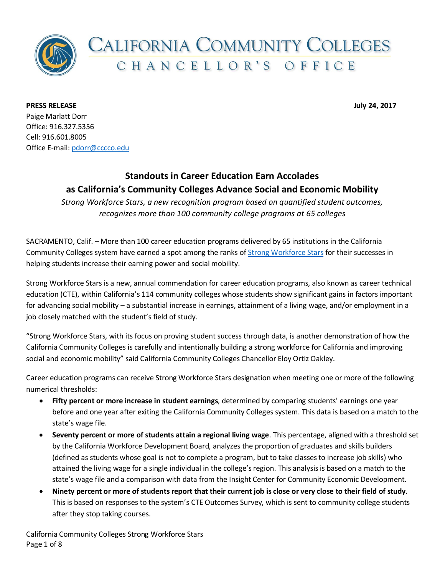

**PRESS RELEASE July 24, 2017** Paige Marlatt Dorr Office: 916.327.5356 Cell: 916.601.8005 Office E-mail[: pdorr@cccco.edu](mailto:pdorr@cccco.edu)

## **Standouts in Career Education Earn Accolades as California's Community Colleges Advance Social and Economic Mobility**

*Strong Workforce Stars, a new recognition program based on quantified student outcomes, recognizes more than 100 community college programs at 65 colleges*

SACRAMENTO, Calif. – More than 100 career education programs delivered by 65 institutions in the California Community Colleges system have earned a spot among the ranks of [Strong Workforce](http://dwmshowcase.com/workforce_stars.asp) Stars for their successes in helping students increase their earning power and social mobility.

Strong Workforce Stars is a new, annual commendation for career education programs, also known as career technical education (CTE), within California's 114 community colleges whose students show significant gains in factors important for advancing social mobility – a substantial increase in earnings, attainment of a living wage, and/or employment in a job closely matched with the student's field of study.

"Strong Workforce Stars, with its focus on proving student success through data, is another demonstration of how the California Community Colleges is carefully and intentionally building a strong workforce for California and improving social and economic mobility" said California Community Colleges Chancellor Eloy Ortiz Oakley.

Career education programs can receive Strong Workforce Stars designation when meeting one or more of the following numerical thresholds:

- **Fifty percent or more increase in student earnings**, determined by comparing students' earnings one year before and one year after exiting the California Community Colleges system. This data is based on a match to the state's wage file.
- **Seventy percent or more of students attain a regional living wage**. This percentage, aligned with a threshold set by the California Workforce Development Board, analyzes the proportion of graduates and skills builders (defined as students whose goal is not to complete a program, but to take classes to increase job skills) who attained the living wage for a single individual in the college's region. This analysis is based on a match to the state's wage file and a comparison with data from the Insight Center for Community Economic Development.
- **Ninety percent or more of students report that their current job is close or very close to their field of study**. This is based on responses to the system's CTE Outcomes Survey, which is sent to community college students after they stop taking courses.

California Community Colleges Strong Workforce Stars Page 1 of 8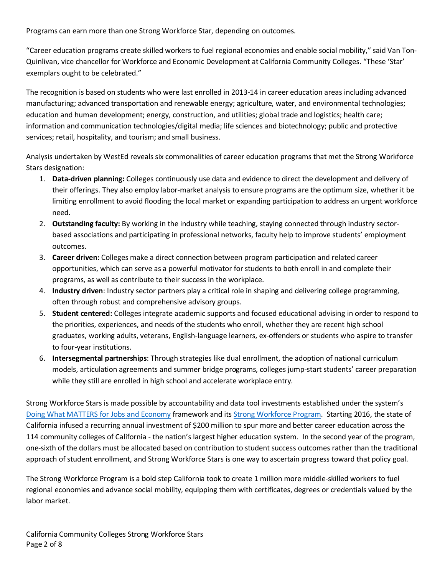Programs can earn more than one Strong Workforce Star, depending on outcomes.

"Career education programs create skilled workers to fuel regional economies and enable social mobility," said Van Ton-Quinlivan, vice chancellor for Workforce and Economic Development at California Community Colleges. "These 'Star' exemplars ought to be celebrated."

The recognition is based on students who were last enrolled in 2013-14 in career education areas including advanced manufacturing; advanced transportation and renewable energy; agriculture, water, and environmental technologies; education and human development; energy, construction, and utilities; global trade and logistics; health care; information and communication technologies/digital media; life sciences and biotechnology; public and protective services; retail, hospitality, and tourism; and small business.

Analysis undertaken by WestEd reveals six commonalities of career education programs that met the Strong Workforce Stars designation:

- 1. **Data-driven planning:** Colleges continuously use data and evidence to direct the development and delivery of their offerings. They also employ labor-market analysis to ensure programs are the optimum size, whether it be limiting enrollment to avoid flooding the local market or expanding participation to address an urgent workforce need.
- 2. **Outstanding faculty:** By working in the industry while teaching, staying connected through industry sectorbased associations and participating in professional networks, faculty help to improve students' employment outcomes.
- 3. **Career driven:** Colleges make a direct connection between program participation and related career opportunities, which can serve as a powerful motivator for students to both enroll in and complete their programs, as well as contribute to their success in the workplace.
- 4. **Industry driven**: Industry sector partners play a critical role in shaping and delivering college programming, often through robust and comprehensive advisory groups.
- 5. **Student centered:** Colleges integrate academic supports and focused educational advising in order to respond to the priorities, experiences, and needs of the students who enroll, whether they are recent high school graduates, working adults, veterans, English-language learners, ex-offenders or students who aspire to transfer to four-year institutions.
- 6. **Intersegmental partnerships**: Through strategies like dual enrollment, the adoption of national curriculum models, articulation agreements and summer bridge programs, colleges jump-start students' career preparation while they still are enrolled in high school and accelerate workplace entry.

Strong Workforce Stars is made possible by accountability and data tool investments established under the system's Doing What MATTERS for Jobs and Economy framework and it[s Strong Workforce Program.](http://doingwhatmatters.cccco.edu/StrongWorkforce.aspx) Starting 2016, the state of California infused a recurring annual investment of \$200 million to spur more and better career education across the 114 community colleges of California - the nation's largest higher education system. In the second year of the program, one-sixth of the dollars must be allocated based on contribution to student success outcomes rather than the traditional approach of student enrollment, and Strong Workforce Stars is one way to ascertain progress toward that policy goal.

The Strong Workforce Program is a bold step California took to create 1 million more middle-skilled workers to fuel regional economies and advance social mobility, equipping them with certificates, degrees or credentials valued by the labor market.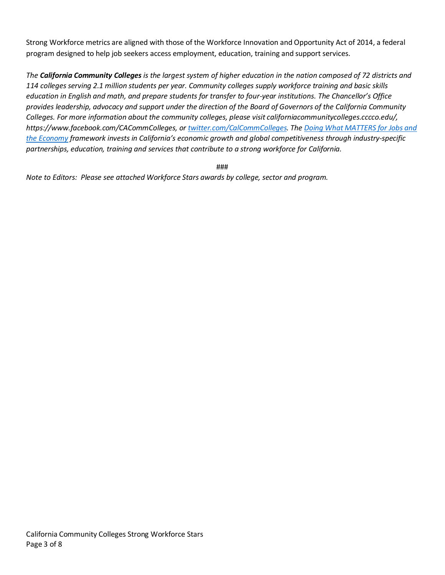Strong Workforce metrics are aligned with those of the Workforce Innovation and Opportunity Act of 2014, a federal program designed to help job seekers access employment, education, training and support services.

*The California Community Colleges is the largest system of higher education in the nation composed of 72 districts and 114 colleges serving 2.1 million students per year. Community colleges supply workforce training and basic skills education in English and math, and prepare students for transfer to four-year institutions. The Chancellor's Office provides leadership, advocacy and support under the direction of the Board of Governors of the California Community Colleges. For more information about the community colleges, please visit californiacommunitycolleges.cccco.edu/, https://www.facebook.com/CACommColleges, o[r twitter.com/CalCommColleges.](https://twitter.com/CalCommColleges) The Doing What MATTERS for Jobs and the Economy framework invests in California's economic growth and global competitiveness through industry-specific partnerships, education, training and services that contribute to a strong workforce for California.*

###

*Note to Editors: Please see attached Workforce Stars awards by college, sector and program.*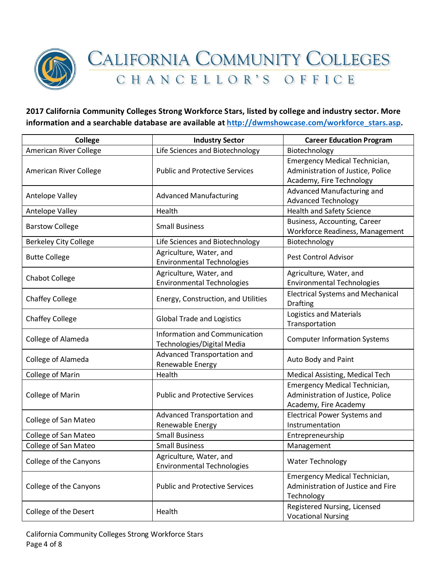

**2017 California Community Colleges Strong Workforce Stars, listed by college and industry sector. More information and a searchable database are available at [http://dwmshowcase.com/workforce\\_stars.asp.](http://dwmshowcase.com/workforce_stars.asp)** 

| <b>College</b>                | <b>Industry Sector</b>                                             | <b>Career Education Program</b>                                                                |
|-------------------------------|--------------------------------------------------------------------|------------------------------------------------------------------------------------------------|
| <b>American River College</b> | Life Sciences and Biotechnology                                    | Biotechnology                                                                                  |
| American River College        | <b>Public and Protective Services</b>                              | Emergency Medical Technician,<br>Administration of Justice, Police<br>Academy, Fire Technology |
| Antelope Valley               | <b>Advanced Manufacturing</b>                                      | Advanced Manufacturing and<br><b>Advanced Technology</b>                                       |
| Antelope Valley               | Health                                                             | <b>Health and Safety Science</b>                                                               |
| <b>Barstow College</b>        | <b>Small Business</b>                                              | Business, Accounting, Career<br>Workforce Readiness, Management                                |
| <b>Berkeley City College</b>  | Life Sciences and Biotechnology                                    | Biotechnology                                                                                  |
| <b>Butte College</b>          | Agriculture, Water, and<br><b>Environmental Technologies</b>       | <b>Pest Control Advisor</b>                                                                    |
| <b>Chabot College</b>         | Agriculture, Water, and<br><b>Environmental Technologies</b>       | Agriculture, Water, and<br><b>Environmental Technologies</b>                                   |
| <b>Chaffey College</b>        | Energy, Construction, and Utilities                                | <b>Electrical Systems and Mechanical</b><br><b>Drafting</b>                                    |
| <b>Chaffey College</b>        | <b>Global Trade and Logistics</b>                                  | <b>Logistics and Materials</b><br>Transportation                                               |
| College of Alameda            | <b>Information and Communication</b><br>Technologies/Digital Media | <b>Computer Information Systems</b>                                                            |
| College of Alameda            | Advanced Transportation and<br>Renewable Energy                    | Auto Body and Paint                                                                            |
| College of Marin              | Health                                                             | Medical Assisting, Medical Tech                                                                |
| College of Marin              | <b>Public and Protective Services</b>                              | Emergency Medical Technician,<br>Administration of Justice, Police<br>Academy, Fire Academy    |
| College of San Mateo          | Advanced Transportation and<br>Renewable Energy                    | <b>Electrical Power Systems and</b><br>Instrumentation                                         |
| College of San Mateo          | <b>Small Business</b>                                              | Entrepreneurship                                                                               |
| <b>College of San Mateo</b>   | <b>Small Business</b>                                              | Management                                                                                     |
| College of the Canyons        | Agriculture, Water, and<br><b>Environmental Technologies</b>       | <b>Water Technology</b>                                                                        |
| College of the Canyons        | <b>Public and Protective Services</b>                              | Emergency Medical Technician,<br>Administration of Justice and Fire<br>Technology              |
| College of the Desert         | Health                                                             | Registered Nursing, Licensed<br><b>Vocational Nursing</b>                                      |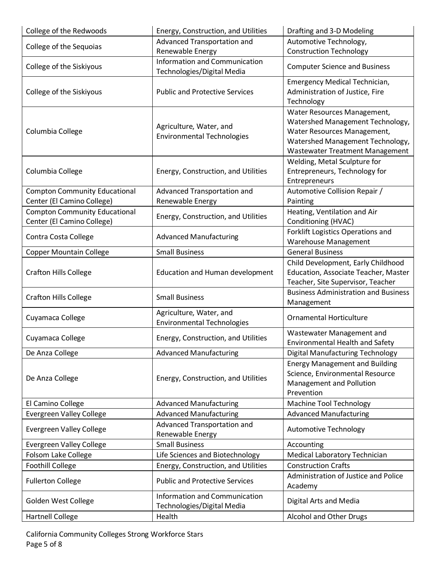| College of the Redwoods              | Energy, Construction, and Utilities                          | Drafting and 3-D Modeling                                                |
|--------------------------------------|--------------------------------------------------------------|--------------------------------------------------------------------------|
|                                      | Advanced Transportation and                                  | Automotive Technology,                                                   |
| College of the Sequoias              | Renewable Energy                                             | <b>Construction Technology</b>                                           |
|                                      | Information and Communication                                |                                                                          |
| College of the Siskiyous             | Technologies/Digital Media                                   | <b>Computer Science and Business</b>                                     |
|                                      |                                                              | Emergency Medical Technician,                                            |
| College of the Siskiyous             | <b>Public and Protective Services</b>                        | Administration of Justice, Fire                                          |
|                                      |                                                              | Technology                                                               |
|                                      |                                                              | Water Resources Management,                                              |
|                                      | Agriculture, Water, and                                      | Watershed Management Technology,                                         |
| Columbia College                     | <b>Environmental Technologies</b>                            | Water Resources Management,                                              |
|                                      |                                                              | Watershed Management Technology,                                         |
|                                      |                                                              | Wastewater Treatment Management                                          |
|                                      |                                                              | Welding, Metal Sculpture for                                             |
| Columbia College                     | Energy, Construction, and Utilities                          | Entrepreneurs, Technology for                                            |
|                                      |                                                              | Entrepreneurs                                                            |
| <b>Compton Community Educational</b> | Advanced Transportation and                                  | Automotive Collision Repair /                                            |
| Center (El Camino College)           | Renewable Energy                                             | Painting                                                                 |
| <b>Compton Community Educational</b> | Energy, Construction, and Utilities                          | Heating, Ventilation and Air                                             |
| Center (El Camino College)           |                                                              | Conditioning (HVAC)                                                      |
| Contra Costa College                 | <b>Advanced Manufacturing</b>                                | Forklift Logistics Operations and                                        |
|                                      |                                                              | <b>Warehouse Management</b>                                              |
| <b>Copper Mountain College</b>       | <b>Small Business</b>                                        | <b>General Business</b>                                                  |
|                                      |                                                              | Child Development, Early Childhood                                       |
| <b>Crafton Hills College</b>         | <b>Education and Human development</b>                       | Education, Associate Teacher, Master                                     |
|                                      |                                                              | Teacher, Site Supervisor, Teacher                                        |
| <b>Crafton Hills College</b>         | <b>Small Business</b>                                        | <b>Business Administration and Business</b>                              |
|                                      |                                                              | Management                                                               |
| Cuyamaca College                     | Agriculture, Water, and<br><b>Environmental Technologies</b> | <b>Ornamental Horticulture</b>                                           |
|                                      |                                                              |                                                                          |
| Cuyamaca College                     | Energy, Construction, and Utilities                          | Wastewater Management and<br><b>Environmental Health and Safety</b>      |
| De Anza College                      | <b>Advanced Manufacturing</b>                                | Digital Manufacturing Technology                                         |
|                                      |                                                              |                                                                          |
|                                      |                                                              | <b>Energy Management and Building</b><br>Science, Environmental Resource |
| De Anza College                      | Energy, Construction, and Utilities                          | Management and Pollution                                                 |
|                                      |                                                              | Prevention                                                               |
| El Camino College                    | <b>Advanced Manufacturing</b>                                | Machine Tool Technology                                                  |
| <b>Evergreen Valley College</b>      | <b>Advanced Manufacturing</b>                                | <b>Advanced Manufacturing</b>                                            |
|                                      | Advanced Transportation and                                  |                                                                          |
| <b>Evergreen Valley College</b>      | Renewable Energy                                             | <b>Automotive Technology</b>                                             |
| Evergreen Valley College             | <b>Small Business</b>                                        | Accounting                                                               |
| Folsom Lake College                  | Life Sciences and Biotechnology                              | Medical Laboratory Technician                                            |
| <b>Foothill College</b>              | Energy, Construction, and Utilities                          | <b>Construction Crafts</b>                                               |
|                                      |                                                              | Administration of Justice and Police                                     |
| <b>Fullerton College</b>             | <b>Public and Protective Services</b>                        | Academy                                                                  |
|                                      | Information and Communication                                |                                                                          |
| Golden West College                  | Technologies/Digital Media                                   | Digital Arts and Media                                                   |
| Hartnell College                     | Health                                                       | Alcohol and Other Drugs                                                  |
|                                      |                                                              |                                                                          |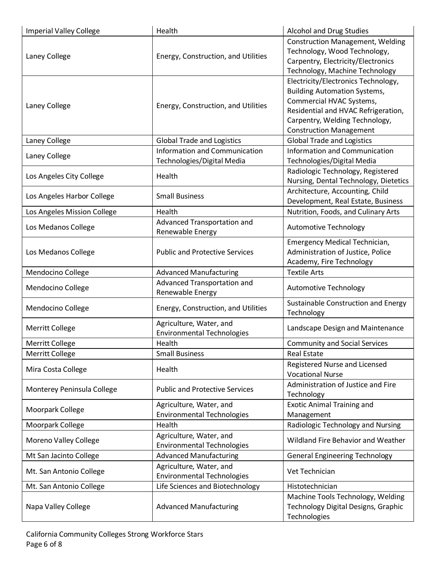| <b>Imperial Valley College</b> | Health                                                       | <b>Alcohol and Drug Studies</b>                                                                                                                                                                                   |
|--------------------------------|--------------------------------------------------------------|-------------------------------------------------------------------------------------------------------------------------------------------------------------------------------------------------------------------|
| Laney College                  | Energy, Construction, and Utilities                          | <b>Construction Management, Welding</b><br>Technology, Wood Technology,<br>Carpentry, Electricity/Electronics<br>Technology, Machine Technology                                                                   |
| Laney College                  | Energy, Construction, and Utilities                          | Electricity/Electronics Technology,<br><b>Building Automation Systems,</b><br>Commercial HVAC Systems,<br>Residential and HVAC Refrigeration,<br>Carpentry, Welding Technology,<br><b>Construction Management</b> |
| Laney College                  | <b>Global Trade and Logistics</b>                            | <b>Global Trade and Logistics</b>                                                                                                                                                                                 |
| Laney College                  | Information and Communication<br>Technologies/Digital Media  | Information and Communication<br>Technologies/Digital Media                                                                                                                                                       |
| Los Angeles City College       | Health                                                       | Radiologic Technology, Registered<br>Nursing, Dental Technology, Dietetics                                                                                                                                        |
| Los Angeles Harbor College     | <b>Small Business</b>                                        | Architecture, Accounting, Child<br>Development, Real Estate, Business                                                                                                                                             |
| Los Angeles Mission College    | Health                                                       | Nutrition, Foods, and Culinary Arts                                                                                                                                                                               |
| Los Medanos College            | Advanced Transportation and<br>Renewable Energy              | <b>Automotive Technology</b>                                                                                                                                                                                      |
| Los Medanos College            | <b>Public and Protective Services</b>                        | Emergency Medical Technician,<br>Administration of Justice, Police<br>Academy, Fire Technology                                                                                                                    |
| Mendocino College              | <b>Advanced Manufacturing</b>                                | <b>Textile Arts</b>                                                                                                                                                                                               |
| Mendocino College              | Advanced Transportation and<br>Renewable Energy              | <b>Automotive Technology</b>                                                                                                                                                                                      |
| Mendocino College              | Energy, Construction, and Utilities                          | Sustainable Construction and Energy<br>Technology                                                                                                                                                                 |
| <b>Merritt College</b>         | Agriculture, Water, and<br><b>Environmental Technologies</b> | Landscape Design and Maintenance                                                                                                                                                                                  |
| <b>Merritt College</b>         | Health                                                       | <b>Community and Social Services</b>                                                                                                                                                                              |
| Merritt College                | <b>Small Business</b>                                        | <b>Real Estate</b>                                                                                                                                                                                                |
| Mira Costa College             | Health                                                       | Registered Nurse and Licensed<br><b>Vocational Nurse</b>                                                                                                                                                          |
| Monterey Peninsula College     | <b>Public and Protective Services</b>                        | Administration of Justice and Fire<br>Technology                                                                                                                                                                  |
| Moorpark College               | Agriculture, Water, and<br><b>Environmental Technologies</b> | <b>Exotic Animal Training and</b><br>Management                                                                                                                                                                   |
| Moorpark College               | Health                                                       | Radiologic Technology and Nursing                                                                                                                                                                                 |
| Moreno Valley College          | Agriculture, Water, and<br><b>Environmental Technologies</b> | Wildland Fire Behavior and Weather                                                                                                                                                                                |
| Mt San Jacinto College         | <b>Advanced Manufacturing</b>                                | <b>General Engineering Technology</b>                                                                                                                                                                             |
| Mt. San Antonio College        | Agriculture, Water, and<br><b>Environmental Technologies</b> | Vet Technician                                                                                                                                                                                                    |
| Mt. San Antonio College        | Life Sciences and Biotechnology                              | Histotechnician                                                                                                                                                                                                   |
| Napa Valley College            | <b>Advanced Manufacturing</b>                                | Machine Tools Technology, Welding<br>Technology Digital Designs, Graphic<br>Technologies                                                                                                                          |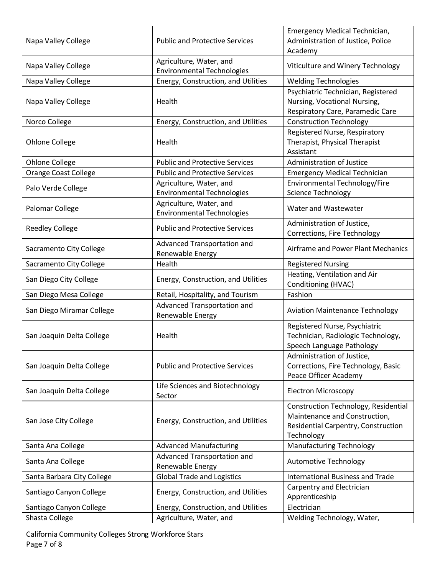| Napa Valley College         | <b>Public and Protective Services</b>                        | Emergency Medical Technician,<br>Administration of Justice, Police<br>Academy                                              |
|-----------------------------|--------------------------------------------------------------|----------------------------------------------------------------------------------------------------------------------------|
| Napa Valley College         | Agriculture, Water, and<br><b>Environmental Technologies</b> | Viticulture and Winery Technology                                                                                          |
| Napa Valley College         | Energy, Construction, and Utilities                          | <b>Welding Technologies</b>                                                                                                |
| Napa Valley College         | Health                                                       | Psychiatric Technician, Registered<br>Nursing, Vocational Nursing,<br>Respiratory Care, Paramedic Care                     |
| Norco College               | Energy, Construction, and Utilities                          | <b>Construction Technology</b>                                                                                             |
| Ohlone College              | Health                                                       | Registered Nurse, Respiratory<br>Therapist, Physical Therapist<br>Assistant                                                |
| <b>Ohlone College</b>       | <b>Public and Protective Services</b>                        | <b>Administration of Justice</b>                                                                                           |
| <b>Orange Coast College</b> | <b>Public and Protective Services</b>                        | <b>Emergency Medical Technician</b>                                                                                        |
| Palo Verde College          | Agriculture, Water, and<br><b>Environmental Technologies</b> | Environmental Technology/Fire<br>Science Technology                                                                        |
| Palomar College             | Agriculture, Water, and<br><b>Environmental Technologies</b> | Water and Wastewater                                                                                                       |
| <b>Reedley College</b>      | <b>Public and Protective Services</b>                        | Administration of Justice,<br>Corrections, Fire Technology                                                                 |
| Sacramento City College     | Advanced Transportation and<br>Renewable Energy              | Airframe and Power Plant Mechanics                                                                                         |
| Sacramento City College     | Health                                                       | <b>Registered Nursing</b>                                                                                                  |
| San Diego City College      | Energy, Construction, and Utilities                          | Heating, Ventilation and Air<br>Conditioning (HVAC)                                                                        |
| San Diego Mesa College      | Retail, Hospitality, and Tourism                             | Fashion                                                                                                                    |
| San Diego Miramar College   | Advanced Transportation and<br>Renewable Energy              | <b>Aviation Maintenance Technology</b>                                                                                     |
| San Joaquin Delta College   | Health                                                       | Registered Nurse, Psychiatric<br>Technician, Radiologic Technology,<br>Speech Language Pathology                           |
| San Joaquin Delta College   | <b>Public and Protective Services</b>                        | Administration of Justice,<br>Corrections, Fire Technology, Basic<br>Peace Officer Academy                                 |
| San Joaquin Delta College   | Life Sciences and Biotechnology<br>Sector                    | <b>Electron Microscopy</b>                                                                                                 |
| San Jose City College       | Energy, Construction, and Utilities                          | Construction Technology, Residential<br>Maintenance and Construction,<br>Residential Carpentry, Construction<br>Technology |
| Santa Ana College           | <b>Advanced Manufacturing</b>                                | <b>Manufacturing Technology</b>                                                                                            |
| Santa Ana College           | Advanced Transportation and<br>Renewable Energy              | <b>Automotive Technology</b>                                                                                               |
| Santa Barbara City College  | <b>Global Trade and Logistics</b>                            | <b>International Business and Trade</b>                                                                                    |
| Santiago Canyon College     | Energy, Construction, and Utilities                          | Carpentry and Electrician<br>Apprenticeship                                                                                |
| Santiago Canyon College     | Energy, Construction, and Utilities                          | Electrician                                                                                                                |
| Shasta College              | Agriculture, Water, and                                      | Welding Technology, Water,                                                                                                 |
|                             |                                                              |                                                                                                                            |